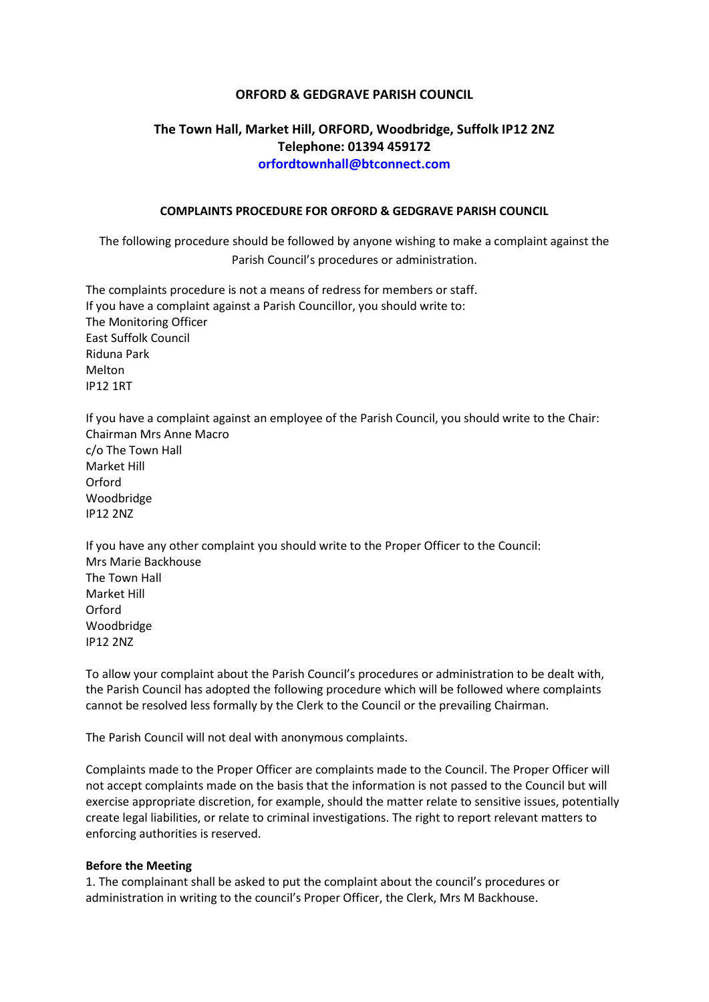### **ORFORD & GEDGRAVE PARISH COUNCIL**

# **The Town Hall, Market Hill, ORFORD, Woodbridge, Suffolk IP12 2NZ Telephone: 01394 459172 orfordtownhall@btconnect.com**

#### **COMPLAINTS PROCEDURE FOR ORFORD & GEDGRAVE PARISH COUNCIL**

The following procedure should be followed by anyone wishing to make a complaint against the Parish Council's procedures or administration.

The complaints procedure is not a means of redress for members or staff. If you have a complaint against a Parish Councillor, you should write to: The Monitoring Officer East Suffolk Council Riduna Park Melton IP12 1RT

If you have a complaint against an employee of the Parish Council, you should write to the Chair: Chairman Mrs Anne Macro c/o The Town Hall Market Hill Orford Woodbridge IP12 2NZ

If you have any other complaint you should write to the Proper Officer to the Council: Mrs Marie Backhouse The Town Hall Market Hill Orford Woodbridge IP12 2NZ

To allow your complaint about the Parish Council's procedures or administration to be dealt with, the Parish Council has adopted the following procedure which will be followed where complaints cannot be resolved less formally by the Clerk to the Council or the prevailing Chairman.

The Parish Council will not deal with anonymous complaints.

Complaints made to the Proper Officer are complaints made to the Council. The Proper Officer will not accept complaints made on the basis that the information is not passed to the Council but will exercise appropriate discretion, for example, should the matter relate to sensitive issues, potentially create legal liabilities, or relate to criminal investigations. The right to report relevant matters to enforcing authorities is reserved.

#### **Before the Meeting**

1. The complainant shall be asked to put the complaint about the council's procedures or administration in writing to the council's Proper Officer, the Clerk, Mrs M Backhouse.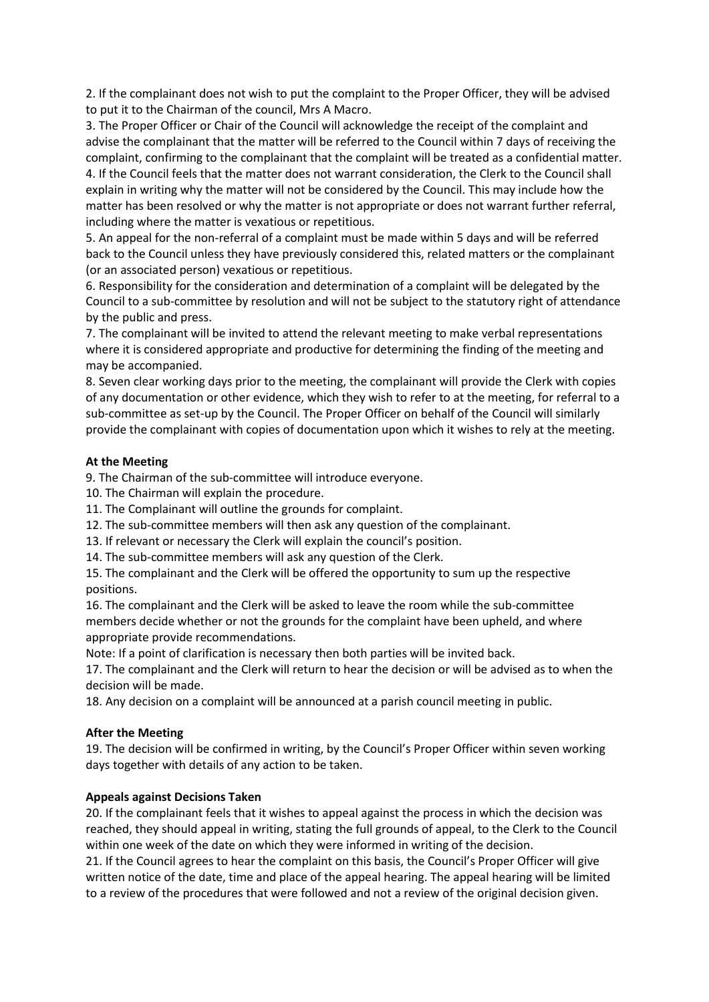2. If the complainant does not wish to put the complaint to the Proper Officer, they will be advised to put it to the Chairman of the council, Mrs A Macro.

3. The Proper Officer or Chair of the Council will acknowledge the receipt of the complaint and advise the complainant that the matter will be referred to the Council within 7 days of receiving the complaint, confirming to the complainant that the complaint will be treated as a confidential matter. 4. If the Council feels that the matter does not warrant consideration, the Clerk to the Council shall explain in writing why the matter will not be considered by the Council. This may include how the matter has been resolved or why the matter is not appropriate or does not warrant further referral, including where the matter is vexatious or repetitious.

5. An appeal for the non-referral of a complaint must be made within 5 days and will be referred back to the Council unless they have previously considered this, related matters or the complainant (or an associated person) vexatious or repetitious.

6. Responsibility for the consideration and determination of a complaint will be delegated by the Council to a sub-committee by resolution and will not be subject to the statutory right of attendance by the public and press.

7. The complainant will be invited to attend the relevant meeting to make verbal representations where it is considered appropriate and productive for determining the finding of the meeting and may be accompanied.

8. Seven clear working days prior to the meeting, the complainant will provide the Clerk with copies of any documentation or other evidence, which they wish to refer to at the meeting, for referral to a sub-committee as set-up by the Council. The Proper Officer on behalf of the Council will similarly provide the complainant with copies of documentation upon which it wishes to rely at the meeting.

### **At the Meeting**

9. The Chairman of the sub-committee will introduce everyone.

10. The Chairman will explain the procedure.

11. The Complainant will outline the grounds for complaint.

12. The sub-committee members will then ask any question of the complainant.

13. If relevant or necessary the Clerk will explain the council's position.

14. The sub-committee members will ask any question of the Clerk.

15. The complainant and the Clerk will be offered the opportunity to sum up the respective positions.

16. The complainant and the Clerk will be asked to leave the room while the sub-committee members decide whether or not the grounds for the complaint have been upheld, and where appropriate provide recommendations.

Note: If a point of clarification is necessary then both parties will be invited back.

17. The complainant and the Clerk will return to hear the decision or will be advised as to when the decision will be made.

18. Any decision on a complaint will be announced at a parish council meeting in public.

### **After the Meeting**

19. The decision will be confirmed in writing, by the Council's Proper Officer within seven working days together with details of any action to be taken.

## **Appeals against Decisions Taken**

20. If the complainant feels that it wishes to appeal against the process in which the decision was reached, they should appeal in writing, stating the full grounds of appeal, to the Clerk to the Council within one week of the date on which they were informed in writing of the decision.

21. If the Council agrees to hear the complaint on this basis, the Council's Proper Officer will give written notice of the date, time and place of the appeal hearing. The appeal hearing will be limited to a review of the procedures that were followed and not a review of the original decision given.